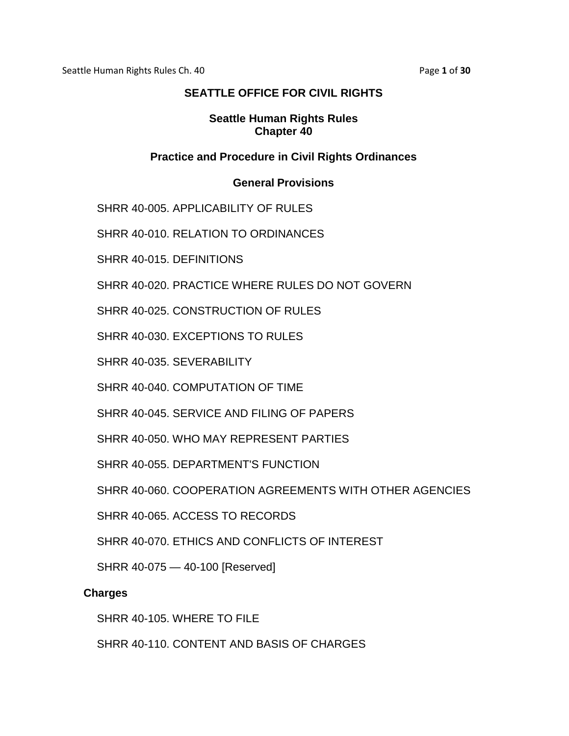Seattle Human Rights Rules Ch. 40 **Page 1** of **30** Page **1** of **30** 

# **SEATTLE OFFICE FOR CIVIL RIGHTS**

#### **Seattle Human Rights Rules Chapter 40**

### **Practice and Procedure in Civil Rights Ordinances**

#### **General Provisions**

SHRR 40-005. APPLICABILITY OF RULES

SHRR 40-010. RELATION TO ORDINANCES

SHRR 40-015. DEFINITIONS

SHRR 40-020. PRACTICE WHERE RULES DO NOT GOVERN

SHRR 40-025. CONSTRUCTION OF RULES

SHRR 40-030. EXCEPTIONS TO RULES

SHRR 40-035. SEVERABILITY

SHRR 40-040. COMPUTATION OF TIME

SHRR 40-045. SERVICE AND FILING OF PAPERS

SHRR 40-050. WHO MAY REPRESENT PARTIES

SHRR 40-055. DEPARTMENT'S FUNCTION

SHRR 40-060. COOPERATION AGREEMENTS WITH OTHER AGENCIES

SHRR 40-065. ACCESS TO RECORDS

SHRR 40-070. ETHICS AND CONFLICTS OF INTEREST

SHRR 40-075 — 40-100 [Reserved]

#### **Charges**

SHRR 40-105. WHERE TO FILE

SHRR 40-110. CONTENT AND BASIS OF CHARGES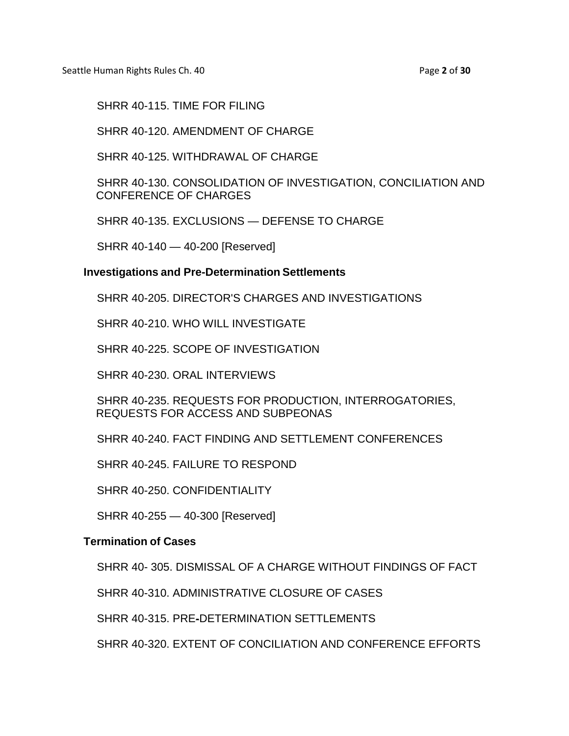Seattle Human Rights Rules Ch. 40 **Page 2** of **30** Page **2** of **30** 

SHRR 40-115. TIME FOR FILING

SHRR 40-120. AMENDMENT OF CHARGE

SHRR 40-125. WITHDRAWAL OF CHARGE

SHRR 40-130. CONSOLIDATION OF INVESTIGATION, CONCILIATION AND CONFERENCE OF CHARGES

SHRR 40-135. EXCLUSIONS — DEFENSE TO CHARGE

SHRR 40-140 — 40-200 [Reserved]

#### **Investigations and Pre-Determination Settlements**

SHRR 40-205. DIRECTOR'S CHARGES AND INVESTIGATIONS

SHRR 40-210. WHO WILL INVESTIGATE

SHRR 40-225. SCOPE OF INVESTIGATION

SHRR 40-230. ORAL INTERVIEWS

SHRR 40-235. REQUESTS FOR PRODUCTION, INTERROGATORIES, REQUESTS FOR ACCESS AND SUBPEONAS

SHRR 40-240. FACT FINDING AND SETTLEMENT CONFERENCES

SHRR 40-245. FAILURE TO RESPOND

SHRR 40-250. CONFIDENTIALITY

SHRR 40-255 — 40-300 [Reserved]

#### **Termination of Cases**

SHRR 40- 305. DISMISSAL OF A CHARGE WITHOUT FINDINGS OF FACT

SHRR 40-310. ADMINISTRATIVE CLOSURE OF CASES

SHRR 40-315. PRE-DETERMINATION SETTLEMENTS

SHRR 40-320. EXTENT OF CONCILIATION AND CONFERENCE EFFORTS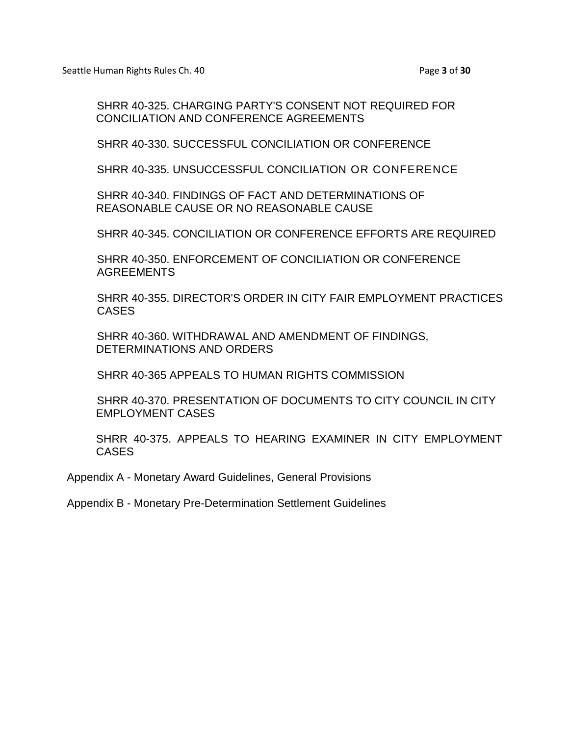SHRR 40-325. CHARGING PARTY'S CONSENT NOT REQUIRED FOR CONCILIATION AND CONFERENCE AGREEMENTS

SHRR 40-330. SUCCESSFUL CONCILIATION OR CONFERENCE

SHRR 40-335. UNSUCCESSFUL CONCILIATION OR CONFERENCE

SHRR 40-340. FINDINGS OF FACT AND DETERMINATIONS OF REASONABLE CAUSE OR NO REASONABLE CAUSE

SHRR 40-345. CONCILIATION OR CONFERENCE EFFORTS ARE REQUIRED

SHRR 40-350. ENFORCEMENT OF CONCILIATION OR CONFERENCE AGREEMENTS

SHRR 40-355. DIRECTOR'S ORDER IN CITY FAIR EMPLOYMENT PRACTICES CASES

SHRR 40-360. WITHDRAWAL AND AMENDMENT OF FINDINGS, DETERMINATIONS AND ORDERS

SHRR 40-365 APPEALS TO HUMAN RIGHTS COMMISSION

SHRR 40-370. PRESENTATION OF DOCUMENTS TO CITY COUNCIL IN CITY EMPLOYMENT CASES

SHRR 40-375. APPEALS TO HEARING EXAMINER IN CITY EMPLOYMENT **CASES** 

Appendix A - Monetary Award Guidelines, General Provisions

Appendix B - Monetary Pre-Determination Settlement Guidelines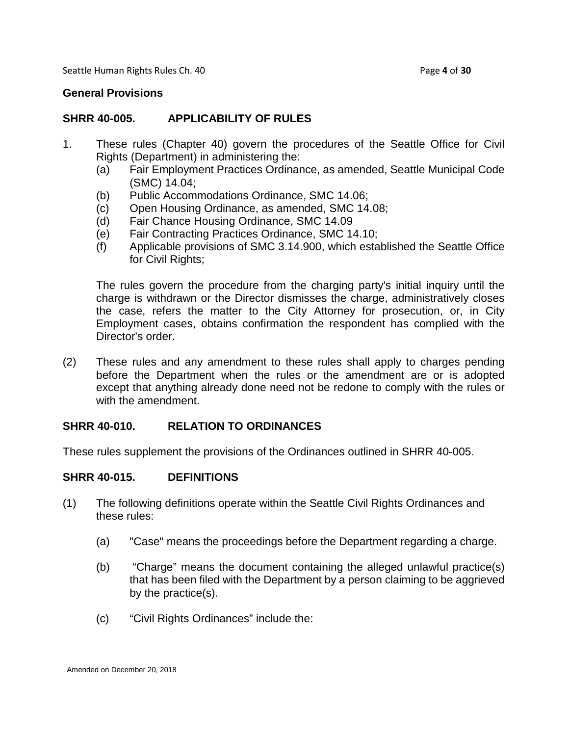Seattle Human Rights Rules Ch. 40 **Page 4** of **30** Page 4 of **30** 

#### **General Provisions**

### **SHRR 40-005. APPLICABILITY OF RULES**

- 1. These rules (Chapter 40) govern the procedures of the Seattle Office for Civil Rights (Department) in administering the:
	- (a) Fair Employment Practices Ordinance, as amended, Seattle Municipal Code (SMC) 14.04;
	- (b) Public Accommodations Ordinance, SMC 14.06;
	- (c) Open Housing Ordinance, as amended, SMC 14.08;
	- (d) Fair Chance Housing Ordinance, SMC 14.09
	- (e) Fair Contracting Practices Ordinance, SMC 14.10;
	- (f) Applicable provisions of SMC 3.14.900, which established the Seattle Office for Civil Rights;

The rules govern the procedure from the charging party's initial inquiry until the charge is withdrawn or the Director dismisses the charge, administratively closes the case, refers the matter to the City Attorney for prosecution, or, in City Employment cases, obtains confirmation the respondent has complied with the Director's order.

(2) These rules and any amendment to these rules shall apply to charges pending before the Department when the rules or the amendment are or is adopted except that anything already done need not be redone to comply with the rules or with the amendment.

#### **SHRR 40-010. RELATION TO ORDINANCES**

These rules supplement the provisions of the Ordinances outlined in SHRR 40-005.

#### **SHRR 40-015. DEFINITIONS**

- (1) The following definitions operate within the Seattle Civil Rights Ordinances and these rules:
	- (a) "Case" means the proceedings before the Department regarding a charge.
	- (b) "Charge" means the document containing the alleged unlawful practice(s) that has been filed with the Department by a person claiming to be aggrieved by the practice(s).
	- (c) "Civil Rights Ordinances" include the: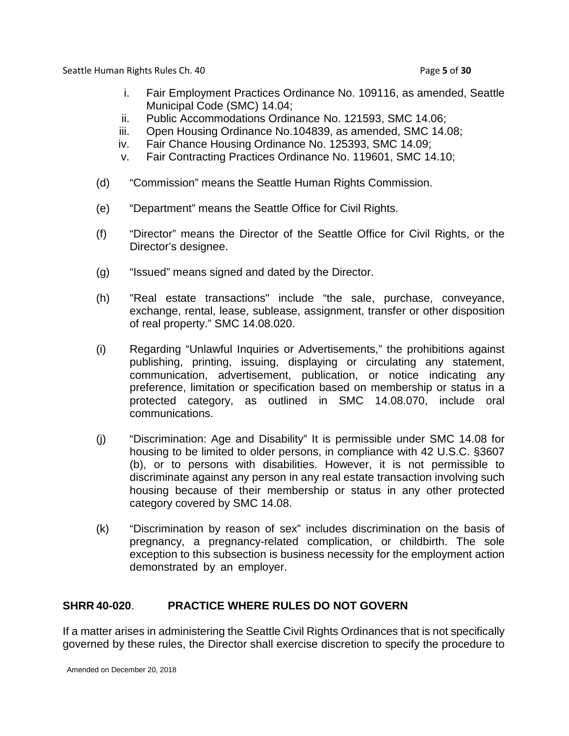Seattle Human Rights Rules Ch. 40 **Page 5** of **30** Page 5 of **30** 

- i. Fair Employment Practices Ordinance No. 109116, as amended, Seattle Municipal Code (SMC) 14.04;
- ii. Public Accommodations Ordinance No. 121593, SMC 14.06;
- iii. Open Housing Ordinance No.104839, as amended, SMC 14.08;
- iv. Fair Chance Housing Ordinance No. 125393, SMC 14.09;
- v. Fair Contracting Practices Ordinance No. 119601, SMC 14.10;
- (d) "Commission" means the Seattle Human Rights Commission.
- (e) "Department" means the Seattle Office for Civil Rights.
- (f) "Director" means the Director of the Seattle Office for Civil Rights, or the Director's designee.
- (g) "Issued" means signed and dated by the Director.
- (h) "Real estate transactions" include "the sale, purchase, conveyance, exchange, rental, lease, sublease, assignment, transfer or other disposition of real property." SMC 14.08.020.
- (i) Regarding "Unlawful Inquiries or Advertisements," the prohibitions against publishing, printing, issuing, displaying or circulating any statement, communication, advertisement, publication, or notice indicating any preference, limitation or specification based on membership or status in a protected category, as outlined in SMC 14.08.070, include oral communications.
- (j) "Discrimination: Age and Disability" It is permissible under SMC 14.08 for housing to be limited to older persons, in compliance with 42 U.S.C. §3607 (b), or to persons with disabilities. However, it is not permissible to discriminate against any person in any real estate transaction involving such housing because of their membership or status in any other protected category covered by SMC 14.08.
- (k) "Discrimination by reason of sex" includes discrimination on the basis of pregnancy, a pregnancy-related complication, or childbirth. The sole exception to this subsection is business necessity for the employment action demonstrated by an employer.

## **SHRR 40-020**. **PRACTICE WHERE RULES DO NOT GOVERN**

If a matter arises in administering the Seattle Civil Rights Ordinances that is not specifically governed by these rules, the Director shall exercise discretion to specify the procedure to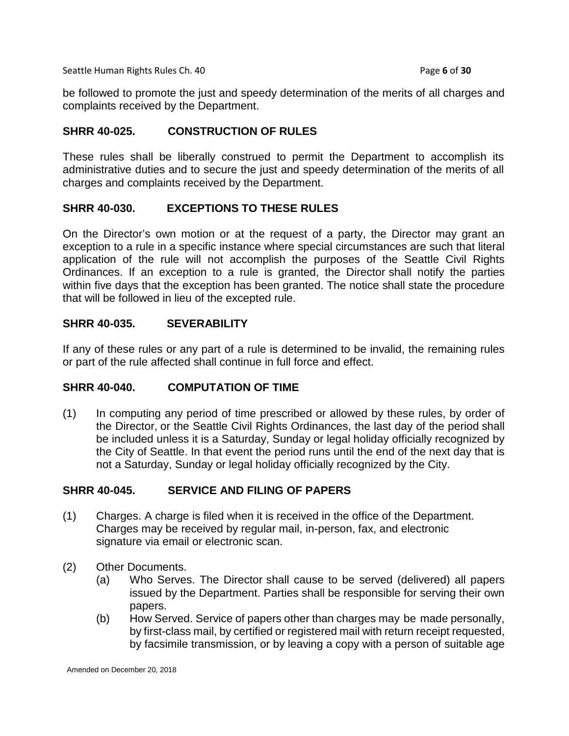Seattle Human Rights Rules Ch. 40 **Page 6** of **30** Page **6** of **30** 

be followed to promote the just and speedy determination of the merits of all charges and complaints received by the Department.

### **SHRR 40-025. CONSTRUCTION OF RULES**

These rules shall be liberally construed to permit the Department to accomplish its administrative duties and to secure the just and speedy determination of the merits of all charges and complaints received by the Department.

### **SHRR 40-030. EXCEPTIONS TO THESE RULES**

On the Director's own motion or at the request of a party, the Director may grant an exception to a rule in a specific instance where special circumstances are such that literal application of the rule will not accomplish the purposes of the Seattle Civil Rights Ordinances. If an exception to a rule is granted, the Director shall notify the parties within five days that the exception has been granted. The notice shall state the procedure that will be followed in lieu of the excepted rule.

### **SHRR 40-035. SEVERABILITY**

If any of these rules or any part of a rule is determined to be invalid, the remaining rules or part of the rule affected shall continue in full force and effect.

## **SHRR 40-040. COMPUTATION OF TIME**

(1) In computing any period of time prescribed or allowed by these rules, by order of the Director, or the Seattle Civil Rights Ordinances, the last day of the period shall be included unless it is a Saturday, Sunday or legal holiday officially recognized by the City of Seattle. In that event the period runs until the end of the next day that is not a Saturday, Sunday or legal holiday officially recognized by the City.

## **SHRR 40-045. SERVICE AND FILING OF PAPERS**

- (1) Charges. A charge is filed when it is received in the office of the Department. Charges may be received by regular mail, in-person, fax, and electronic signature via email or electronic scan.
- (2) Other Documents.
	- (a) Who Serves. The Director shall cause to be served (delivered) all papers issued by the Department. Parties shall be responsible for serving their own papers.
	- (b) How Served. Service of papers other than charges may be made personally, by first-class mail, by certified or registered mail with return receipt requested, by facsimile transmission, or by leaving a copy with a person of suitable age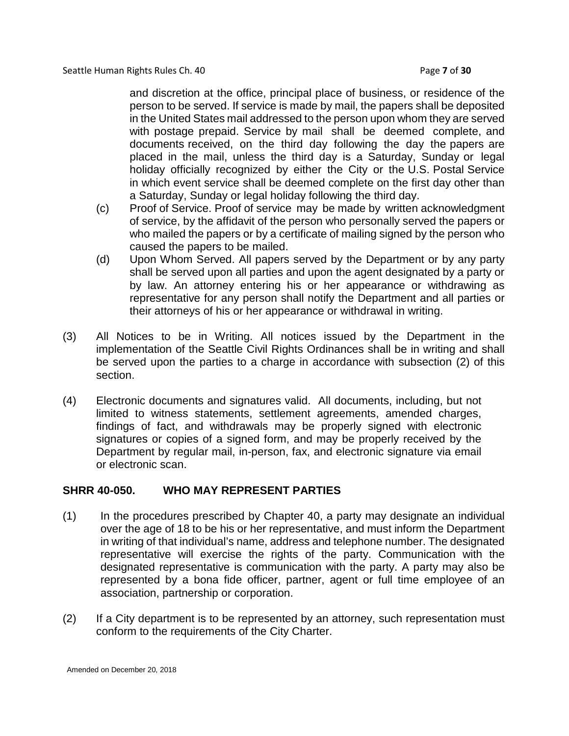and discretion at the office, principal place of business, or residence of the person to be served. If service is made by mail, the papers shall be deposited in the United States mail addressed to the person upon whom they are served with postage prepaid. Service by mail shall be deemed complete, and documents received, on the third day following the day the papers are placed in the mail, unless the third day is a Saturday, Sunday or legal holiday officially recognized by either the City or the U.S. Postal Service in which event service shall be deemed complete on the first day other than a Saturday, Sunday or legal holiday following the third day.

- (c) Proof of Service. Proof of service may be made by written acknowledgment of service, by the affidavit of the person who personally served the papers or who mailed the papers or by a certificate of mailing signed by the person who caused the papers to be mailed.
- (d) Upon Whom Served. All papers served by the Department or by any party shall be served upon all parties and upon the agent designated by a party or by law. An attorney entering his or her appearance or withdrawing as representative for any person shall notify the Department and all parties or their attorneys of his or her appearance or withdrawal in writing.
- (3) All Notices to be in Writing. All notices issued by the Department in the implementation of the Seattle Civil Rights Ordinances shall be in writing and shall be served upon the parties to a charge in accordance with subsection (2) of this section.
- (4) Electronic documents and signatures valid. All documents, including, but not limited to witness statements, settlement agreements, amended charges, findings of fact, and withdrawals may be properly signed with electronic signatures or copies of a signed form, and may be properly received by the Department by regular mail, in-person, fax, and electronic signature via email or electronic scan.

## **SHRR 40-050. WHO MAY REPRESENT PARTIES**

- (1) In the procedures prescribed by Chapter 40, a party may designate an individual over the age of 18 to be his or her representative, and must inform the Department in writing of that individual's name, address and telephone number. The designated representative will exercise the rights of the party. Communication with the designated representative is communication with the party. A party may also be represented by a bona fide officer, partner, agent or full time employee of an association, partnership or corporation.
- (2) If a City department is to be represented by an attorney, such representation must conform to the requirements of the City Charter.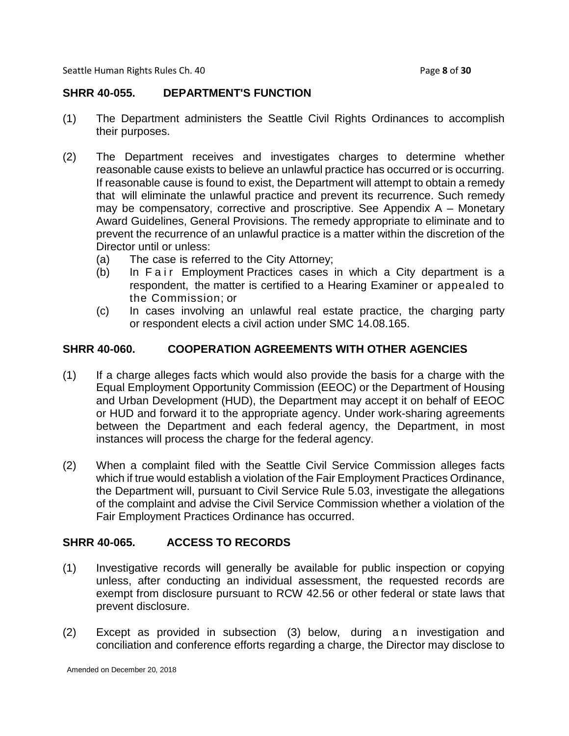Seattle Human Rights Rules Ch. 40 **Page 8** of **30** Page **8** of **30** 

### **SHRR 40-055. DEPARTMENT'S FUNCTION**

- (1) The Department administers the Seattle Civil Rights Ordinances to accomplish their purposes.
- (2) The Department receives and investigates charges to determine whether reasonable cause exists to believe an unlawful practice has occurred or is occurring. If reasonable cause is found to exist, the Department will attempt to obtain a remedy that will eliminate the unlawful practice and prevent its recurrence. Such remedy may be compensatory, corrective and proscriptive. See Appendix A – Monetary Award Guidelines, General Provisions. The remedy appropriate to eliminate and to prevent the recurrence of an unlawful practice is a matter within the discretion of the Director until or unless:
	- (a) The case is referred to the City Attorney;
	- (b) In Fair Employment Practices cases in which a City department is a respondent, the matter is certified to a Hearing Examiner or appealed to the Commission; or
	- (c) In cases involving an unlawful real estate practice, the charging party or respondent elects a civil action under SMC 14.08.165.

### **SHRR 40-060. COOPERATION AGREEMENTS WITH OTHER AGENCIES**

- (1) If a charge alleges facts which would also provide the basis for a charge with the Equal Employment Opportunity Commission (EEOC) or the Department of Housing and Urban Development (HUD), the Department may accept it on behalf of EEOC or HUD and forward it to the appropriate agency. Under work-sharing agreements between the Department and each federal agency, the Department, in most instances will process the charge for the federal agency.
- (2) When a complaint filed with the Seattle Civil Service Commission alleges facts which if true would establish a violation of the Fair Employment Practices Ordinance, the Department will, pursuant to Civil Service Rule 5.03, investigate the allegations of the complaint and advise the Civil Service Commission whether a violation of the Fair Employment Practices Ordinance has occurred.

## **SHRR 40-065. ACCESS TO RECORDS**

- (1) Investigative records will generally be available for public inspection or copying unless, after conducting an individual assessment, the requested records are exempt from disclosure pursuant to RCW 42.56 or other federal or state laws that prevent disclosure.
- (2) Except as provided in subsection (3) below, during an investigation and conciliation and conference efforts regarding a charge, the Director may disclose to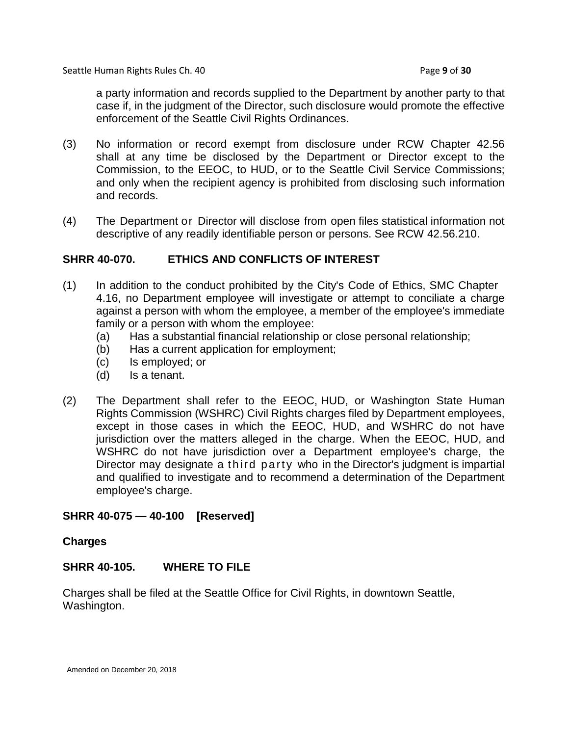Seattle Human Rights Rules Ch. 40 **Page 9** of **30** Page **9** of **30** 

a party information and records supplied to the Department by another party to that case if, in the judgment of the Director, such disclosure would promote the effective enforcement of the Seattle Civil Rights Ordinances.

- (3) No information or record exempt from disclosure under RCW Chapter 42.56 shall at any time be disclosed by the Department or Director except to the Commission, to the EEOC, to HUD, or to the Seattle Civil Service Commissions; and only when the recipient agency is prohibited from disclosing such information and records.
- (4) The Department or Director will disclose from open files statistical information not descriptive of any readily identifiable person or persons. See RCW 42.56.210.

### **SHRR 40-070. ETHICS AND CONFLICTS OF INTEREST**

- (1) In addition to the conduct prohibited by the City's Code of Ethics, SMC Chapter 4.16, no Department employee will investigate or attempt to conciliate a charge against a person with whom the employee, a member of the employee's immediate family or a person with whom the employee:
	- (a) Has a substantial financial relationship or close personal relationship;
	- (b) Has a current application for employment;
	- (c) Is employed; or
	- (d) Is a tenant.
- (2) The Department shall refer to the EEOC, HUD, or Washington State Human Rights Commission (WSHRC) Civil Rights charges filed by Department employees, except in those cases in which the EEOC, HUD, and WSHRC do not have jurisdiction over the matters alleged in the charge. When the EEOC, HUD, and WSHRC do not have jurisdiction over a Department employee's charge, the Director may designate a third party who in the Director's judgment is impartial and qualified to investigate and to recommend a determination of the Department employee's charge.

## **SHRR 40-075 — 40-100 [Reserved]**

#### **Charges**

#### **SHRR 40-105. WHERE TO FILE**

Charges shall be filed at the Seattle Office for Civil Rights, in downtown Seattle, Washington.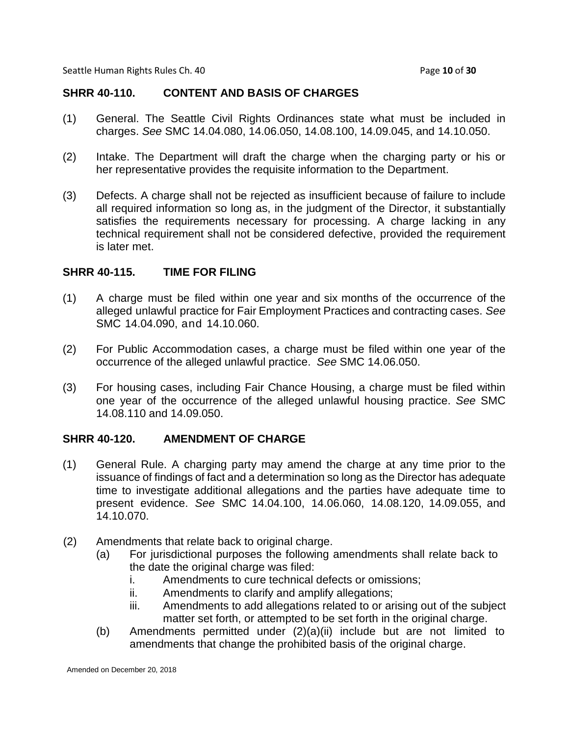Seattle Human Rights Rules Ch. 40 **Page 10** of **30** Page 10 of **30** 

#### **SHRR 40-110. CONTENT AND BASIS OF CHARGES**

- (1) General. The Seattle Civil Rights Ordinances state what must be included in charges. *See* SMC 14.04.080, 14.06.050, 14.08.100, 14.09.045, and 14.10.050.
- (2) Intake. The Department will draft the charge when the charging party or his or her representative provides the requisite information to the Department.
- (3) Defects. A charge shall not be rejected as insufficient because of failure to include all required information so long as, in the judgment of the Director, it substantially satisfies the requirements necessary for processing. A charge lacking in any technical requirement shall not be considered defective, provided the requirement is later met.

#### **SHRR 40-115. TIME FOR FILING**

- (1) A charge must be filed within one year and six months of the occurrence of the alleged unlawful practice for Fair Employment Practices and contracting cases. *See* SMC 14.04.090, and 14.10.060.
- (2) For Public Accommodation cases, a charge must be filed within one year of the occurrence of the alleged unlawful practice. *See* SMC 14.06.050.
- (3) For housing cases, including Fair Chance Housing, a charge must be filed within one year of the occurrence of the alleged unlawful housing practice. *See* SMC 14.08.110 and 14.09.050.

#### **SHRR 40-120. AMENDMENT OF CHARGE**

- (1) General Rule. A charging party may amend the charge at any time prior to the issuance of findings of fact and a determination so long as the Director has adequate time to investigate additional allegations and the parties have adequate time to present evidence. *See* SMC 14.04.100, 14.06.060, 14.08.120, 14.09.055, and 14.10.070.
- (2) Amendments that relate back to original charge.
	- (a) For jurisdictional purposes the following amendments shall relate back to the date the original charge was filed:
		- i. Amendments to cure technical defects or omissions;
		- ii. Amendments to clarify and amplify allegations;
		- iii. Amendments to add allegations related to or arising out of the subject matter set forth, or attempted to be set forth in the original charge.
	- (b) Amendments permitted under (2)(a)(ii) include but are not limited to amendments that change the prohibited basis of the original charge.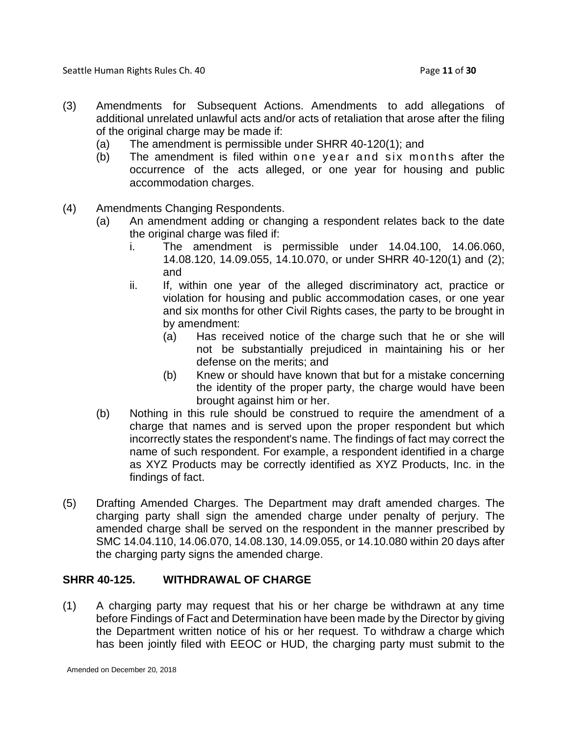Seattle Human Rights Rules Ch. 40 **Page 11** of **30** Page 11 of **30** 

- (3) Amendments for Subsequent Actions. Amendments to add allegations of additional unrelated unlawful acts and/or acts of retaliation that arose after the filing of the original charge may be made if:
	- (a) The amendment is permissible under SHRR 40-120(1); and
	- (b) The amendment is filed within one year and six months after the occurrence of the acts alleged, or one year for housing and public accommodation charges.
- (4) Amendments Changing Respondents.
	- (a) An amendment adding or changing a respondent relates back to the date the original charge was filed if:
		- i. The amendment is permissible under 14.04.100, 14.06.060, 14.08.120, 14.09.055, 14.10.070, or under SHRR 40-120(1) and (2); and
		- ii. If, within one year of the alleged discriminatory act, practice or violation for housing and public accommodation cases, or one year and six months for other Civil Rights cases, the party to be brought in by amendment:
			- (a) Has received notice of the charge such that he or she will not be substantially prejudiced in maintaining his or her defense on the merits; and
			- (b) Knew or should have known that but for a mistake concerning the identity of the proper party, the charge would have been brought against him or her.
	- (b) Nothing in this rule should be construed to require the amendment of a charge that names and is served upon the proper respondent but which incorrectly states the respondent's name. The findings of fact may correct the name of such respondent. For example, a respondent identified in a charge as XYZ Products may be correctly identified as XYZ Products, Inc. in the findings of fact.
- (5) Drafting Amended Charges. The Department may draft amended charges. The charging party shall sign the amended charge under penalty of perjury. The amended charge shall be served on the respondent in the manner prescribed by SMC 14.04.110, 14.06.070, 14.08.130, 14.09.055, or 14.10.080 within 20 days after the charging party signs the amended charge.

## **SHRR 40-125. WITHDRAWAL OF CHARGE**

(1) A charging party may request that his or her charge be withdrawn at any time before Findings of Fact and Determination have been made by the Director by giving the Department written notice of his or her request. To withdraw a charge which has been jointly filed with EEOC or HUD, the charging party must submit to the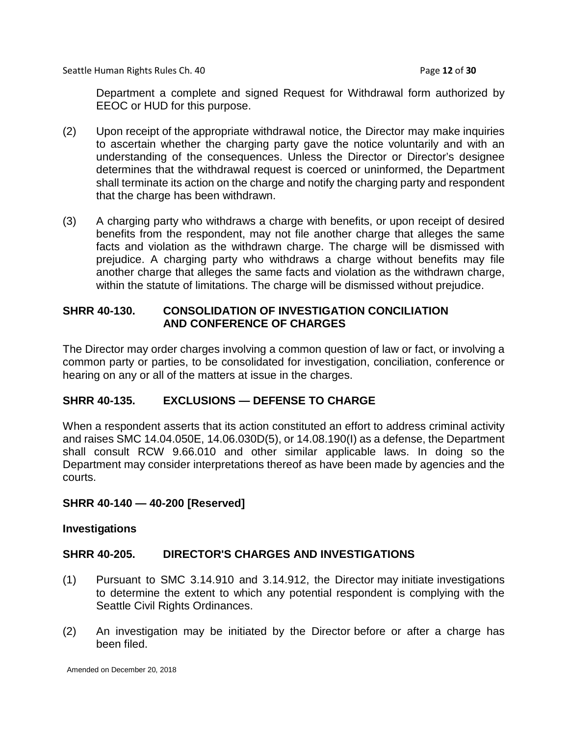Seattle Human Rights Rules Ch. 40 **Page 12** of **30** Page 12 of **30** 

Department a complete and signed Request for Withdrawal form authorized by EEOC or HUD for this purpose.

- (2) Upon receipt of the appropriate withdrawal notice, the Director may make inquiries to ascertain whether the charging party gave the notice voluntarily and with an understanding of the consequences. Unless the Director or Director's designee determines that the withdrawal request is coerced or uninformed, the Department shall terminate its action on the charge and notify the charging party and respondent that the charge has been withdrawn.
- (3) A charging party who withdraws a charge with benefits, or upon receipt of desired benefits from the respondent, may not file another charge that alleges the same facts and violation as the withdrawn charge. The charge will be dismissed with prejudice. A charging party who withdraws a charge without benefits may file another charge that alleges the same facts and violation as the withdrawn charge, within the statute of limitations. The charge will be dismissed without prejudice.

## **SHRR 40-130. CONSOLIDATION OF INVESTIGATION CONCILIATION AND CONFERENCE OF CHARGES**

The Director may order charges involving a common question of law or fact, or involving a common party or parties, to be consolidated for investigation, conciliation, conference or hearing on any or all of the matters at issue in the charges.

## **SHRR 40-135. EXCLUSIONS — DEFENSE TO CHARGE**

When a respondent asserts that its action constituted an effort to address criminal activity and raises SMC 14.04.050E, 14.06.030D(5), or 14.08.190(I) as a defense, the Department shall consult RCW 9.66.010 and other similar applicable laws. In doing so the Department may consider interpretations thereof as have been made by agencies and the courts.

#### **SHRR 40-140 — 40-200 [Reserved]**

#### **Investigations**

### **SHRR 40-205. DIRECTOR'S CHARGES AND INVESTIGATIONS**

- (1) Pursuant to SMC 3.14.910 and 3.14.912, the Director may initiate investigations to determine the extent to which any potential respondent is complying with the Seattle Civil Rights Ordinances.
- (2) An investigation may be initiated by the Director before or after a charge has been filed.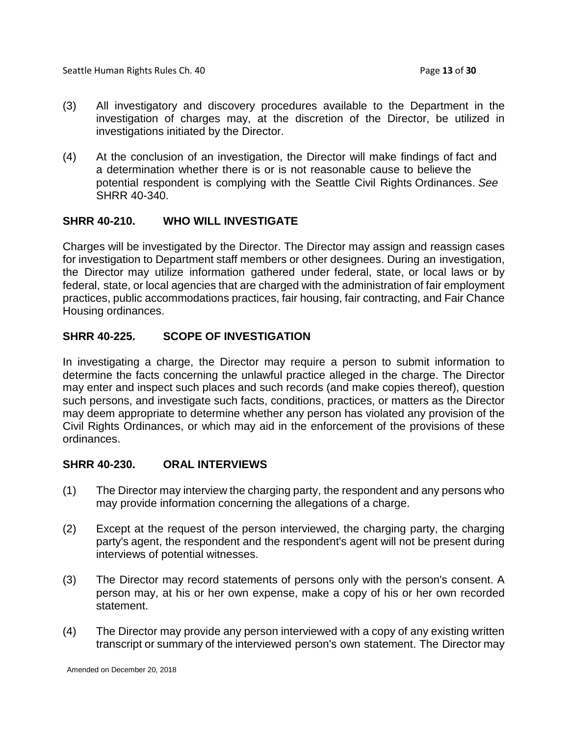- (3) All investigatory and discovery procedures available to the Department in the investigation of charges may, at the discretion of the Director, be utilized in investigations initiated by the Director.
- (4) At the conclusion of an investigation, the Director will make findings of fact and a determination whether there is or is not reasonable cause to believe the potential respondent is complying with the Seattle Civil Rights Ordinances. *See*  SHRR 40-340.

### **SHRR 40-210. WHO WILL INVESTIGATE**

Charges will be investigated by the Director. The Director may assign and reassign cases for investigation to Department staff members or other designees. During an investigation, the Director may utilize information gathered under federal, state, or local laws or by federal, state, or local agencies that are charged with the administration of fair employment practices, public accommodations practices, fair housing, fair contracting, and Fair Chance Housing ordinances.

## **SHRR 40-225. SCOPE OF INVESTIGATION**

In investigating a charge, the Director may require a person to submit information to determine the facts concerning the unlawful practice alleged in the charge. The Director may enter and inspect such places and such records (and make copies thereof), question such persons, and investigate such facts, conditions, practices, or matters as the Director may deem appropriate to determine whether any person has violated any provision of the Civil Rights Ordinances, or which may aid in the enforcement of the provisions of these ordinances.

#### **SHRR 40-230. ORAL INTERVIEWS**

- (1) The Director may interview the charging party, the respondent and any persons who may provide information concerning the allegations of a charge.
- (2) Except at the request of the person interviewed, the charging party, the charging party's agent, the respondent and the respondent's agent will not be present during interviews of potential witnesses.
- (3) The Director may record statements of persons only with the person's consent. A person may, at his or her own expense, make a copy of his or her own recorded statement.
- (4) The Director may provide any person interviewed with a copy of any existing written transcript or summary of the interviewed person's own statement. The Director may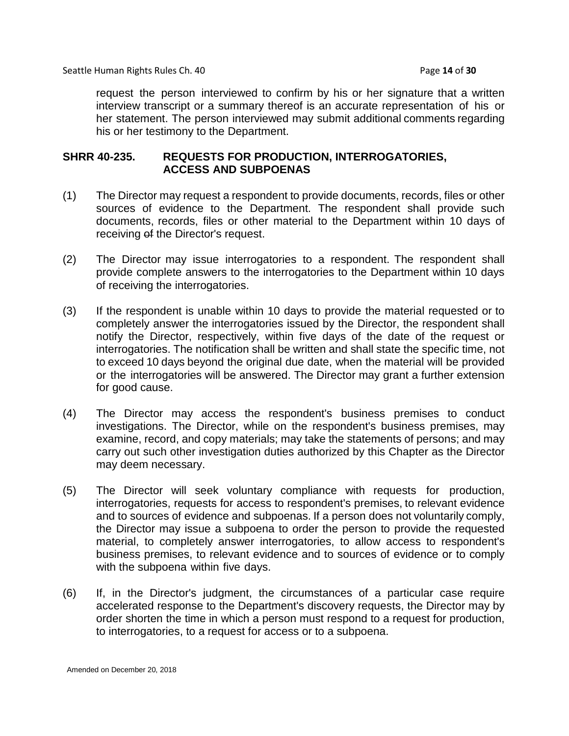Seattle Human Rights Rules Ch. 40 **Page 14** of **30** Page 14 of **30** 

request the person interviewed to confirm by his or her signature that a written interview transcript or a summary thereof is an accurate representation of his or her statement. The person interviewed may submit additional comments regarding his or her testimony to the Department.

### **SHRR 40-235. REQUESTS FOR PRODUCTION, INTERROGATORIES, ACCESS AND SUBPOENAS**

- (1) The Director may request a respondent to provide documents, records, files or other sources of evidence to the Department. The respondent shall provide such documents, records, files or other material to the Department within 10 days of receiving of the Director's request.
- (2) The Director may issue interrogatories to a respondent. The respondent shall provide complete answers to the interrogatories to the Department within 10 days of receiving the interrogatories.
- (3) If the respondent is unable within 10 days to provide the material requested or to completely answer the interrogatories issued by the Director, the respondent shall notify the Director, respectively, within five days of the date of the request or interrogatories. The notification shall be written and shall state the specific time, not to exceed 10 days beyond the original due date, when the material will be provided or the interrogatories will be answered. The Director may grant a further extension for good cause.
- (4) The Director may access the respondent's business premises to conduct investigations. The Director, while on the respondent's business premises, may examine, record, and copy materials; may take the statements of persons; and may carry out such other investigation duties authorized by this Chapter as the Director may deem necessary.
- (5) The Director will seek voluntary compliance with requests for production, interrogatories, requests for access to respondent's premises, to relevant evidence and to sources of evidence and subpoenas. If a person does not voluntarily comply, the Director may issue a subpoena to order the person to provide the requested material, to completely answer interrogatories, to allow access to respondent's business premises, to relevant evidence and to sources of evidence or to comply with the subpoena within five days.
- (6) If, in the Director's judgment, the circumstances of a particular case require accelerated response to the Department's discovery requests, the Director may by order shorten the time in which a person must respond to a request for production, to interrogatories, to a request for access or to a subpoena.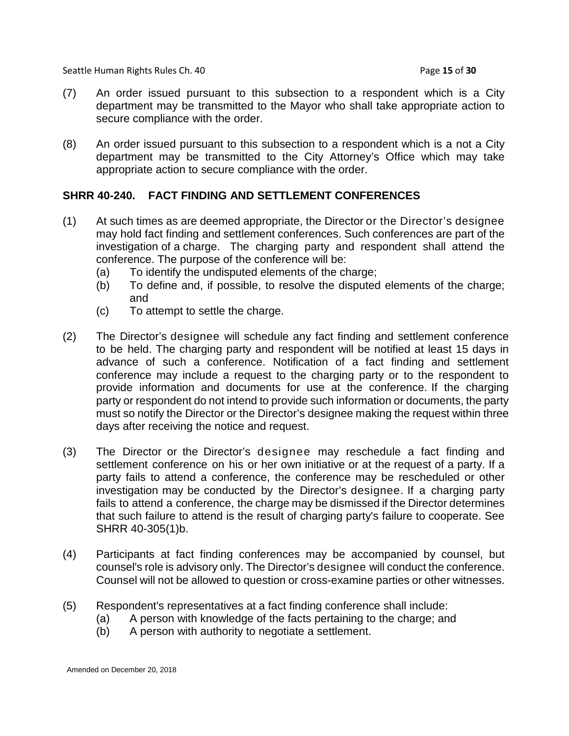Seattle Human Rights Rules Ch. 40 **Page 15** of **30** Page 15 of **30** 

- (7) An order issued pursuant to this subsection to a respondent which is a City department may be transmitted to the Mayor who shall take appropriate action to secure compliance with the order.
- (8) An order issued pursuant to this subsection to a respondent which is a not a City department may be transmitted to the City Attorney's Office which may take appropriate action to secure compliance with the order.

## **SHRR 40-240. FACT FINDING AND SETTLEMENT CONFERENCES**

- (1) At such times as are deemed appropriate, the Director or the Director's designee may hold fact finding and settlement conferences. Such conferences are part of the investigation of a charge. The charging party and respondent shall attend the conference. The purpose of the conference will be:
	- (a) To identify the undisputed elements of the charge;
	- (b) To define and, if possible, to resolve the disputed elements of the charge; and
	- (c) To attempt to settle the charge.
- (2) The Director's designee will schedule any fact finding and settlement conference to be held. The charging party and respondent will be notified at least 15 days in advance of such a conference. Notification of a fact finding and settlement conference may include a request to the charging party or to the respondent to provide information and documents for use at the conference. If the charging party or respondent do not intend to provide such information or documents, the party must so notify the Director or the Director's designee making the request within three days after receiving the notice and request.
- (3) The Director or the Director's designee may reschedule a fact finding and settlement conference on his or her own initiative or at the request of a party. If a party fails to attend a conference, the conference may be rescheduled or other investigation may be conducted by the Director's designee. If a charging party fails to attend a conference, the charge may be dismissed if the Director determines that such failure to attend is the result of charging party's failure to cooperate. See SHRR 40-305(1)b.
- (4) Participants at fact finding conferences may be accompanied by counsel, but counsel's role is advisory only. The Director's designee will conduct the conference. Counsel will not be allowed to question or cross-examine parties or other witnesses.
- (5) Respondent's representatives at a fact finding conference shall include:
	- (a) A person with knowledge of the facts pertaining to the charge; and
	- (b) A person with authority to negotiate a settlement.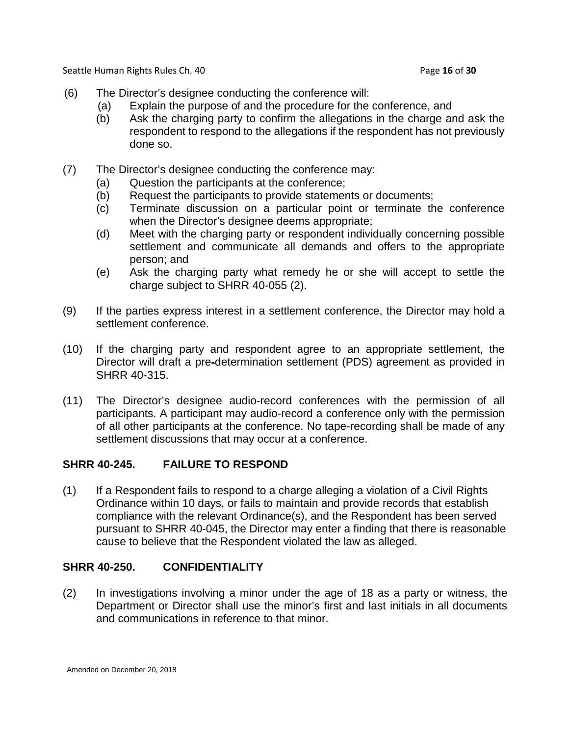Seattle Human Rights Rules Ch. 40 **Page 16** of **30** Page 16 of **30** 

- (6) The Director's designee conducting the conference will:
	- (a) Explain the purpose of and the procedure for the conference, and
	- (b) Ask the charging party to confirm the allegations in the charge and ask the respondent to respond to the allegations if the respondent has not previously done so.
- (7) The Director's designee conducting the conference may:
	- (a) Question the participants at the conference;
	- (b) Request the participants to provide statements or documents;
	- (c) Terminate discussion on a particular point or terminate the conference when the Director's designee deems appropriate;
	- (d) Meet with the charging party or respondent individually concerning possible settlement and communicate all demands and offers to the appropriate person; and
	- (e) Ask the charging party what remedy he or she will accept to settle the charge subject to SHRR 40-055 (2).
- (9) If the parties express interest in a settlement conference, the Director may hold a settlement conference.
- (10) If the charging party and respondent agree to an appropriate settlement, the Director will draft a pre-determination settlement (PDS) agreement as provided in SHRR 40-315.
- (11) The Director's designee audio-record conferences with the permission of all participants. A participant may audio-record a conference only with the permission of all other participants at the conference. No tape-recording shall be made of any settlement discussions that may occur at a conference.

## **SHRR 40-245. FAILURE TO RESPOND**

(1) If a Respondent fails to respond to a charge alleging a violation of a Civil Rights Ordinance within 10 days, or fails to maintain and provide records that establish compliance with the relevant Ordinance(s), and the Respondent has been served pursuant to SHRR 40-045, the Director may enter a finding that there is reasonable cause to believe that the Respondent violated the law as alleged.

## **SHRR 40-250. CONFIDENTIALITY**

(2) In investigations involving a minor under the age of 18 as a party or witness, the Department or Director shall use the minor's first and last initials in all documents and communications in reference to that minor.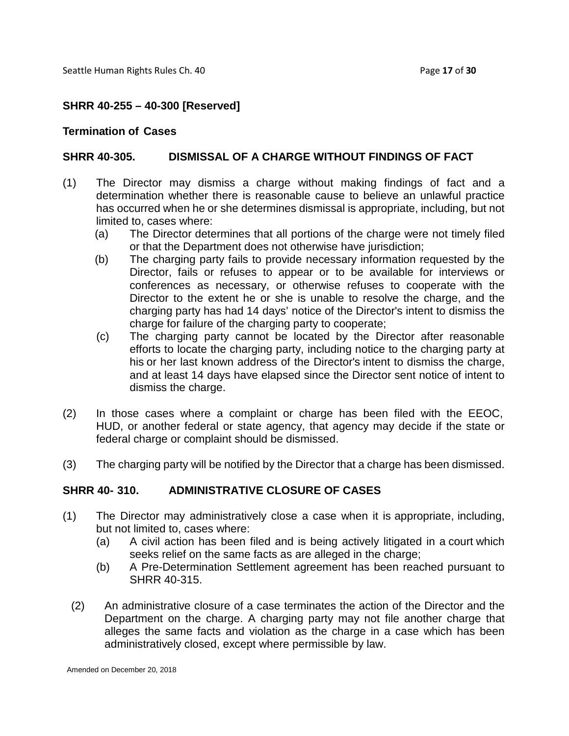Seattle Human Rights Rules Ch. 40 **Page 17** of **30** Page 17 of **30** 

### **SHRR 40-255 – 40-300 [Reserved]**

#### **Termination of Cases**

### **SHRR 40-305. DISMISSAL OF A CHARGE WITHOUT FINDINGS OF FACT**

- (1) The Director may dismiss a charge without making findings of fact and a determination whether there is reasonable cause to believe an unlawful practice has occurred when he or she determines dismissal is appropriate, including, but not limited to, cases where:
	- (a) The Director determines that all portions of the charge were not timely filed or that the Department does not otherwise have jurisdiction;
	- (b) The charging party fails to provide necessary information requested by the Director, fails or refuses to appear or to be available for interviews or conferences as necessary, or otherwise refuses to cooperate with the Director to the extent he or she is unable to resolve the charge, and the charging party has had 14 days' notice of the Director's intent to dismiss the charge for failure of the charging party to cooperate;
	- (c) The charging party cannot be located by the Director after reasonable efforts to locate the charging party, including notice to the charging party at his or her last known address of the Director's intent to dismiss the charge, and at least 14 days have elapsed since the Director sent notice of intent to dismiss the charge.
- (2) In those cases where a complaint or charge has been filed with the EEOC, HUD, or another federal or state agency, that agency may decide if the state or federal charge or complaint should be dismissed.
- (3) The charging party will be notified by the Director that a charge has been dismissed.

#### **SHRR 40- 310. ADMINISTRATIVE CLOSURE OF CASES**

- (1) The Director may administratively close a case when it is appropriate, including, but not limited to, cases where:
	- (a) A civil action has been filed and is being actively litigated in a court which seeks relief on the same facts as are alleged in the charge;
	- (b) A Pre-Determination Settlement agreement has been reached pursuant to SHRR 40-315.
	- (2) An administrative closure of a case terminates the action of the Director and the Department on the charge. A charging party may not file another charge that alleges the same facts and violation as the charge in a case which has been administratively closed, except where permissible by law.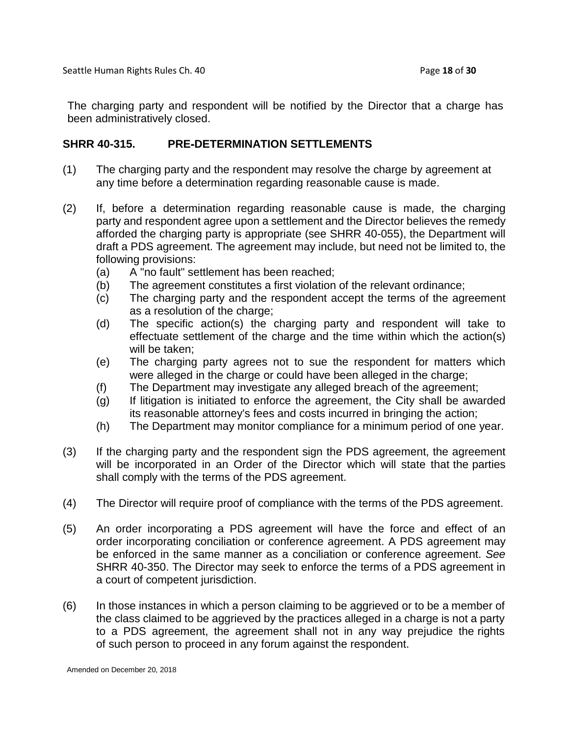The charging party and respondent will be notified by the Director that a charge has been administratively closed.

### **SHRR 40-315. PRE-DETERMINATION SETTLEMENTS**

- (1) The charging party and the respondent may resolve the charge by agreement at any time before a determination regarding reasonable cause is made.
- (2) If, before a determination regarding reasonable cause is made, the charging party and respondent agree upon a settlement and the Director believes the remedy afforded the charging party is appropriate (see SHRR 40-055), the Department will draft a PDS agreement. The agreement may include, but need not be limited to, the following provisions:
	- (a) A "no fault" settlement has been reached;
	- (b) The agreement constitutes a first violation of the relevant ordinance;
	- (c) The charging party and the respondent accept the terms of the agreement as a resolution of the charge;
	- (d) The specific action(s) the charging party and respondent will take to effectuate settlement of the charge and the time within which the action(s) will be taken;
	- (e) The charging party agrees not to sue the respondent for matters which were alleged in the charge or could have been alleged in the charge;
	- (f) The Department may investigate any alleged breach of the agreement;
	- (g) If litigation is initiated to enforce the agreement, the City shall be awarded its reasonable attorney's fees and costs incurred in bringing the action;
	- (h) The Department may monitor compliance for a minimum period of one year.
- (3) If the charging party and the respondent sign the PDS agreement, the agreement will be incorporated in an Order of the Director which will state that the parties shall comply with the terms of the PDS agreement.
- (4) The Director will require proof of compliance with the terms of the PDS agreement.
- (5) An order incorporating a PDS agreement will have the force and effect of an order incorporating conciliation or conference agreement. A PDS agreement may be enforced in the same manner as a conciliation or conference agreement. *See* SHRR 40-350. The Director may seek to enforce the terms of a PDS agreement in a court of competent jurisdiction.
- (6) In those instances in which a person claiming to be aggrieved or to be a member of the class claimed to be aggrieved by the practices alleged in a charge is not a party to a PDS agreement, the agreement shall not in any way prejudice the rights of such person to proceed in any forum against the respondent.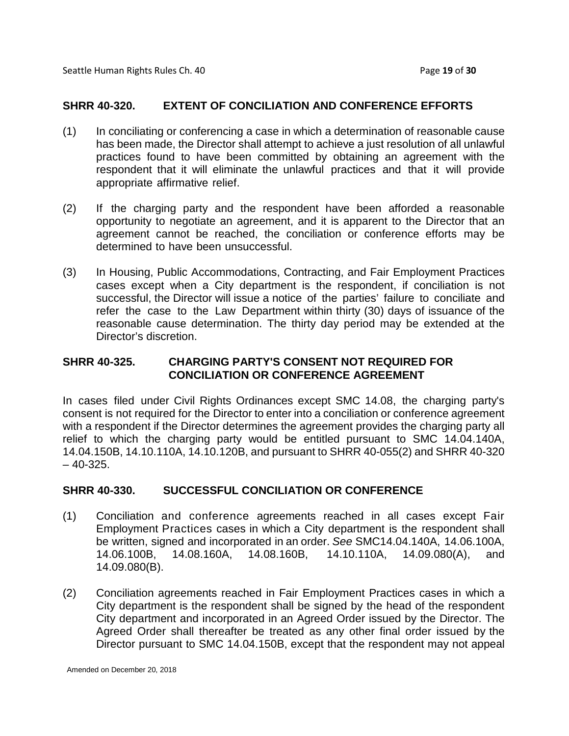### **SHRR 40-320. EXTENT OF CONCILIATION AND CONFERENCE EFFORTS**

- (1) In conciliating or conferencing a case in which a determination of reasonable cause has been made, the Director shall attempt to achieve a just resolution of all unlawful practices found to have been committed by obtaining an agreement with the respondent that it will eliminate the unlawful practices and that it will provide appropriate affirmative relief.
- (2) If the charging party and the respondent have been afforded a reasonable opportunity to negotiate an agreement, and it is apparent to the Director that an agreement cannot be reached, the conciliation or conference efforts may be determined to have been unsuccessful.
- (3) In Housing, Public Accommodations, Contracting, and Fair Employment Practices cases except when a City department is the respondent, if conciliation is not successful, the Director will issue a notice of the parties' failure to conciliate and refer the case to the Law Department within thirty (30) days of issuance of the reasonable cause determination. The thirty day period may be extended at the Director's discretion.

## **SHRR 40-325. CHARGING PARTY'S CONSENT NOT REQUIRED FOR CONCILIATION OR CONFERENCE AGREEMENT**

In cases filed under Civil Rights Ordinances except SMC 14.08, the charging party's consent is not required for the Director to enter into a conciliation or conference agreement with a respondent if the Director determines the agreement provides the charging party all relief to which the charging party would be entitled pursuant to SMC 14.04.140A, 14.04.150B, 14.10.110A, 14.10.120B, and pursuant to SHRR 40-055(2) and SHRR 40-320  $-40-325$ .

## **SHRR 40-330. SUCCESSFUL CONCILIATION OR CONFERENCE**

- (1) Conciliation and conference agreements reached in all cases except Fair Employment Practices cases in which a City department is the respondent shall be written, signed and incorporated in an order. *See* SMC14.04.140A, 14.06.100A, 14.06.100B, 14.08.160A, 14.08.160B, 14.10.110A, 14.09.080(A), and 14.09.080(B).
- (2) Conciliation agreements reached in Fair Employment Practices cases in which a City department is the respondent shall be signed by the head of the respondent City department and incorporated in an Agreed Order issued by the Director. The Agreed Order shall thereafter be treated as any other final order issued by the Director pursuant to SMC 14.04.150B, except that the respondent may not appeal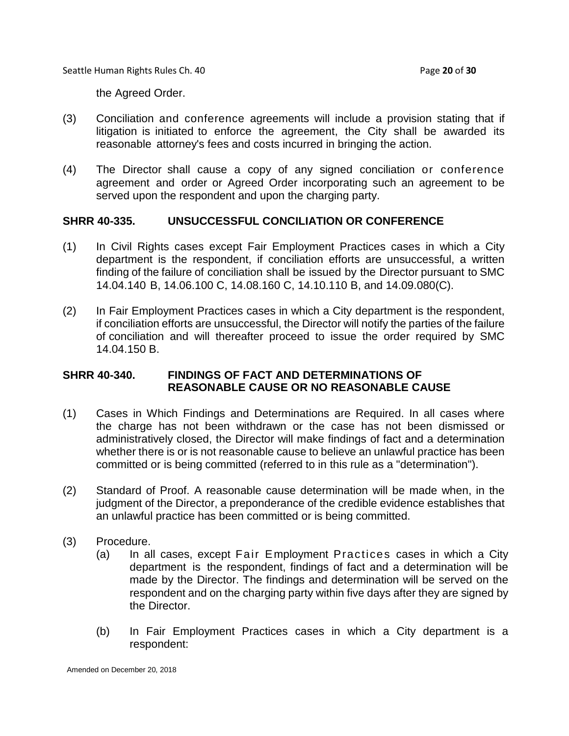Seattle Human Rights Rules Ch. 40 **Page 20** of **30** Page 20 of **30** 

the Agreed Order.

- (3) Conciliation and conference agreements will include a provision stating that if litigation is initiated to enforce the agreement, the City shall be awarded its reasonable attorney's fees and costs incurred in bringing the action.
- (4) The Director shall cause a copy of any signed conciliation or conference agreement and order or Agreed Order incorporating such an agreement to be served upon the respondent and upon the charging party.

#### **SHRR 40-335. UNSUCCESSFUL CONCILIATION OR CONFERENCE**

- (1) In Civil Rights cases except Fair Employment Practices cases in which a City department is the respondent, if conciliation efforts are unsuccessful, a written finding of the failure of conciliation shall be issued by the Director pursuant to SMC 14.04.140 B, 14.06.100 C, 14.08.160 C, 14.10.110 B, and 14.09.080(C).
- (2) In Fair Employment Practices cases in which a City department is the respondent, if conciliation efforts are unsuccessful, the Director will notify the parties of the failure of conciliation and will thereafter proceed to issue the order required by SMC 14.04.150 B.

### **SHRR 40-340. FINDINGS OF FACT AND DETERMINATIONS OF REASONABLE CAUSE OR NO REASONABLE CAUSE**

- (1) Cases in Which Findings and Determinations are Required. In all cases where the charge has not been withdrawn or the case has not been dismissed or administratively closed, the Director will make findings of fact and a determination whether there is or is not reasonable cause to believe an unlawful practice has been committed or is being committed (referred to in this rule as a "determination").
- (2) Standard of Proof. A reasonable cause determination will be made when, in the judgment of the Director, a preponderance of the credible evidence establishes that an unlawful practice has been committed or is being committed.
- (3) Procedure.
	- (a) In all cases, except Fair Employment Practices cases in which a City department is the respondent, findings of fact and a determination will be made by the Director. The findings and determination will be served on the respondent and on the charging party within five days after they are signed by the Director.
	- (b) In Fair Employment Practices cases in which a City department is a respondent: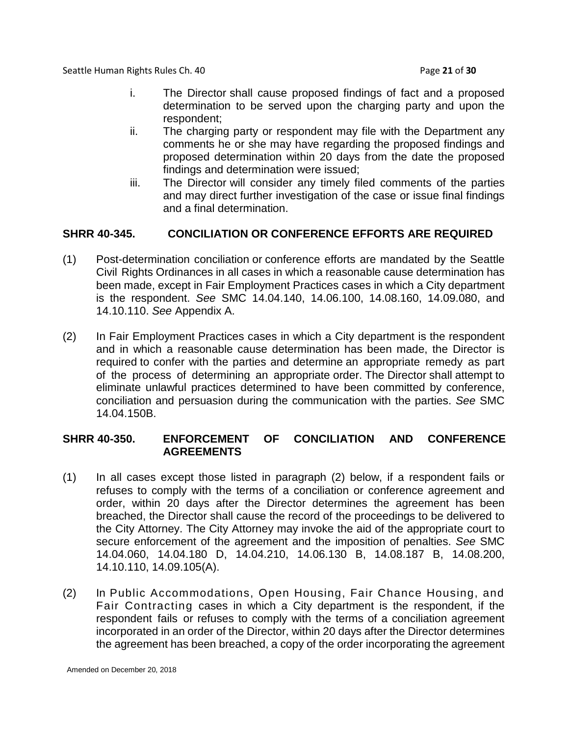Seattle Human Rights Rules Ch. 40 **Page 21** of **30** Page 21 of **30** 

- i. The Director shall cause proposed findings of fact and a proposed determination to be served upon the charging party and upon the respondent;
- ii. The charging party or respondent may file with the Department any comments he or she may have regarding the proposed findings and proposed determination within 20 days from the date the proposed findings and determination were issued;
- iii. The Director will consider any timely filed comments of the parties and may direct further investigation of the case or issue final findings and a final determination.

# **SHRR 40-345. CONCILIATION OR CONFERENCE EFFORTS ARE REQUIRED**

- (1) Post-determination conciliation or conference efforts are mandated by the Seattle Civil Rights Ordinances in all cases in which a reasonable cause determination has been made, except in Fair Employment Practices cases in which a City department is the respondent. *See* SMC 14.04.140, 14.06.100, 14.08.160, 14.09.080, and 14.10.110. *See* Appendix A.
- (2) In Fair Employment Practices cases in which a City department is the respondent and in which a reasonable cause determination has been made, the Director is required to confer with the parties and determine an appropriate remedy as part of the process of determining an appropriate order. The Director shall attempt to eliminate unlawful practices determined to have been committed by conference, conciliation and persuasion during the communication with the parties. *See* SMC 14.04.150B.

## **SHRR 40-350. ENFORCEMENT OF CONCILIATION AND CONFERENCE AGREEMENTS**

- (1) In all cases except those listed in paragraph (2) below, if a respondent fails or refuses to comply with the terms of a conciliation or conference agreement and order, within 20 days after the Director determines the agreement has been breached, the Director shall cause the record of the proceedings to be delivered to the City Attorney. The City Attorney may invoke the aid of the appropriate court to secure enforcement of the agreement and the imposition of penalties. *See* SMC 14.04.060, 14.04.180 D, 14.04.210, 14.06.130 B, 14.08.187 B, 14.08.200, 14.10.110, 14.09.105(A).
- (2) In Public Accommodations, Open Housing, Fair Chance Housing, and Fair Contracting cases in which a City department is the respondent, if the respondent fails or refuses to comply with the terms of a conciliation agreement incorporated in an order of the Director, within 20 days after the Director determines the agreement has been breached, a copy of the order incorporating the agreement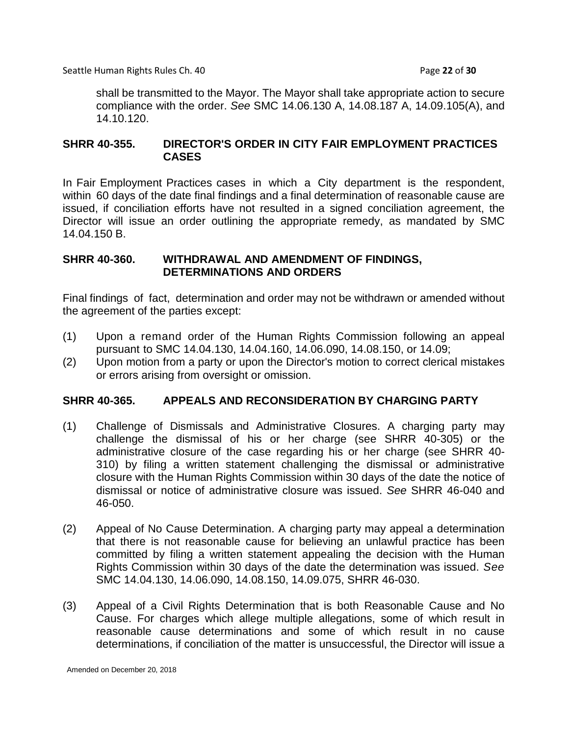Seattle Human Rights Rules Ch. 40 **Page 22** of **30** Page 22 of **30** 

shall be transmitted to the Mayor. The Mayor shall take appropriate action to secure compliance with the order. *See* SMC 14.06.130 A, 14.08.187 A, 14.09.105(A), and 14.10.120.

### **SHRR 40-355. DIRECTOR'S ORDER IN CITY FAIR EMPLOYMENT PRACTICES CASES**

In Fair Employment Practices cases in which a City department is the respondent, within 60 days of the date final findings and a final determination of reasonable cause are issued, if conciliation efforts have not resulted in a signed conciliation agreement, the Director will issue an order outlining the appropriate remedy, as mandated by SMC 14.04.150 B.

### **SHRR 40-360. WITHDRAWAL AND AMENDMENT OF FINDINGS, DETERMINATIONS AND ORDERS**

Final findings of fact, determination and order may not be withdrawn or amended without the agreement of the parties except:

- (1) Upon a remand order of the Human Rights Commission following an appeal pursuant to SMC 14.04.130, 14.04.160, 14.06.090, 14.08.150, or 14.09;
- (2) Upon motion from a party or upon the Director's motion to correct clerical mistakes or errors arising from oversight or omission.

## **SHRR 40-365. APPEALS AND RECONSIDERATION BY CHARGING PARTY**

- (1) Challenge of Dismissals and Administrative Closures. A charging party may challenge the dismissal of his or her charge (see SHRR 40-305) or the administrative closure of the case regarding his or her charge (see SHRR 40- 310) by filing a written statement challenging the dismissal or administrative closure with the Human Rights Commission within 30 days of the date the notice of dismissal or notice of administrative closure was issued. *See* SHRR 46-040 and 46-050.
- (2) Appeal of No Cause Determination. A charging party may appeal a determination that there is not reasonable cause for believing an unlawful practice has been committed by filing a written statement appealing the decision with the Human Rights Commission within 30 days of the date the determination was issued. *See*  SMC 14.04.130, 14.06.090, 14.08.150, 14.09.075, SHRR 46-030.
- (3) Appeal of a Civil Rights Determination that is both Reasonable Cause and No Cause. For charges which allege multiple allegations, some of which result in reasonable cause determinations and some of which result in no cause determinations, if conciliation of the matter is unsuccessful, the Director will issue a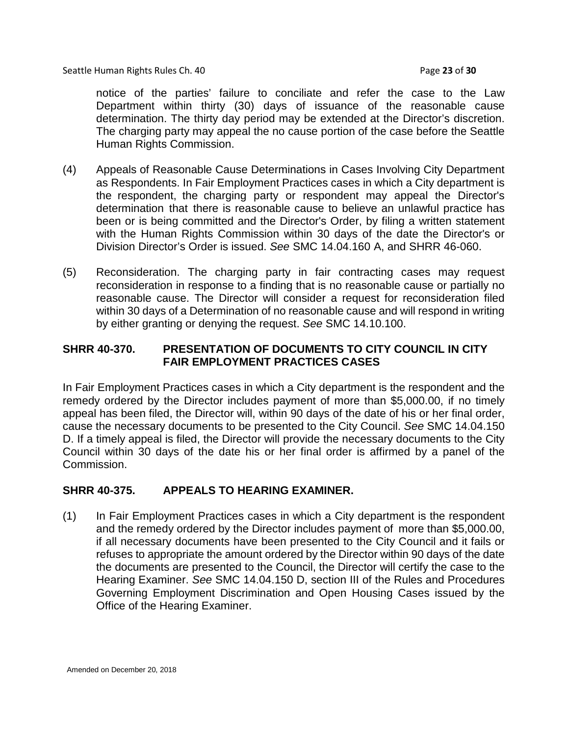Seattle Human Rights Rules Ch. 40 **Page 23** of **30** Page 23 of **30** 

notice of the parties' failure to conciliate and refer the case to the Law Department within thirty (30) days of issuance of the reasonable cause determination. The thirty day period may be extended at the Director's discretion. The charging party may appeal the no cause portion of the case before the Seattle Human Rights Commission.

- (4) Appeals of Reasonable Cause Determinations in Cases Involving City Department as Respondents. In Fair Employment Practices cases in which a City department is the respondent, the charging party or respondent may appeal the Director's determination that there is reasonable cause to believe an unlawful practice has been or is being committed and the Director's Order, by filing a written statement with the Human Rights Commission within 30 days of the date the Director's or Division Director's Order is issued. *See* SMC 14.04.160 A, and SHRR 46-060.
- (5) Reconsideration. The charging party in fair contracting cases may request reconsideration in response to a finding that is no reasonable cause or partially no reasonable cause. The Director will consider a request for reconsideration filed within 30 days of a Determination of no reasonable cause and will respond in writing by either granting or denying the request. *See* SMC 14.10.100.

# **SHRR 40-370. PRESENTATION OF DOCUMENTS TO CITY COUNCIL IN CITY FAIR EMPLOYMENT PRACTICES CASES**

In Fair Employment Practices cases in which a City department is the respondent and the remedy ordered by the Director includes payment of more than \$5,000.00, if no timely appeal has been filed, the Director will, within 90 days of the date of his or her final order, cause the necessary documents to be presented to the City Council. *See* SMC 14.04.150 D. If a timely appeal is filed, the Director will provide the necessary documents to the City Council within 30 days of the date his or her final order is affirmed by a panel of the Commission.

## **SHRR 40-375. APPEALS TO HEARING EXAMINER.**

(1) In Fair Employment Practices cases in which a City department is the respondent and the remedy ordered by the Director includes payment of more than \$5,000.00, if all necessary documents have been presented to the City Council and it fails or refuses to appropriate the amount ordered by the Director within 90 days of the date the documents are presented to the Council, the Director will certify the case to the Hearing Examiner. *See* SMC 14.04.150 D, section III of the Rules and Procedures Governing Employment Discrimination and Open Housing Cases issued by the Office of the Hearing Examiner.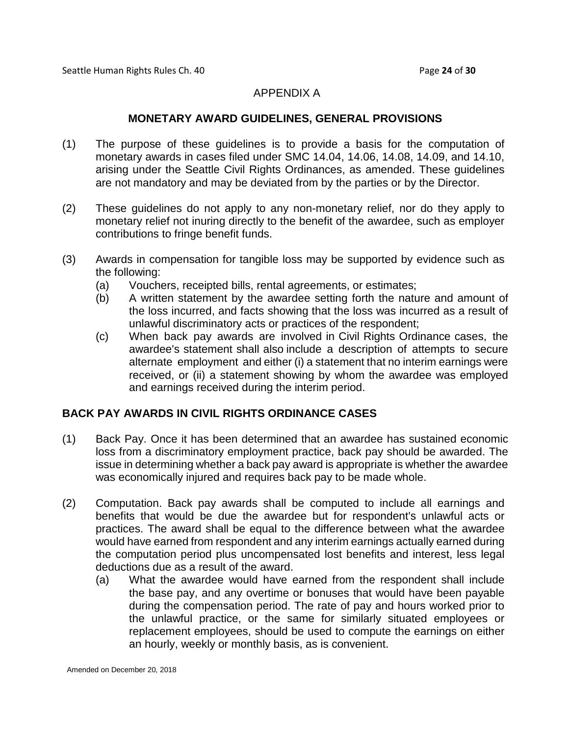### APPENDIX A

### **MONETARY AWARD GUIDELINES, GENERAL PROVISIONS**

- (1) The purpose of these guidelines is to provide a basis for the computation of monetary awards in cases filed under SMC 14.04, 14.06, 14.08, 14.09, and 14.10, arising under the Seattle Civil Rights Ordinances, as amended. These guidelines are not mandatory and may be deviated from by the parties or by the Director.
- (2) These guidelines do not apply to any non-monetary relief, nor do they apply to monetary relief not inuring directly to the benefit of the awardee, such as employer contributions to fringe benefit funds.
- (3) Awards in compensation for tangible loss may be supported by evidence such as the following:
	- (a) Vouchers, receipted bills, rental agreements, or estimates;
	- (b) A written statement by the awardee setting forth the nature and amount of the loss incurred, and facts showing that the loss was incurred as a result of unlawful discriminatory acts or practices of the respondent;
	- (c) When back pay awards are involved in Civil Rights Ordinance cases, the awardee's statement shall also include a description of attempts to secure alternate employment and either (i) a statement that no interim earnings were received, or (ii) a statement showing by whom the awardee was employed and earnings received during the interim period.

## **BACK PAY AWARDS IN CIVIL RIGHTS ORDINANCE CASES**

- (1) Back Pay. Once it has been determined that an awardee has sustained economic loss from a discriminatory employment practice, back pay should be awarded. The issue in determining whether a back pay award is appropriate is whether the awardee was economically injured and requires back pay to be made whole.
- (2) Computation. Back pay awards shall be computed to include all earnings and benefits that would be due the awardee but for respondent's unlawful acts or practices. The award shall be equal to the difference between what the awardee would have earned from respondent and any interim earnings actually earned during the computation period plus uncompensated lost benefits and interest, less legal deductions due as a result of the award.
	- (a) What the awardee would have earned from the respondent shall include the base pay, and any overtime or bonuses that would have been payable during the compensation period. The rate of pay and hours worked prior to the unlawful practice, or the same for similarly situated employees or replacement employees, should be used to compute the earnings on either an hourly, weekly or monthly basis, as is convenient.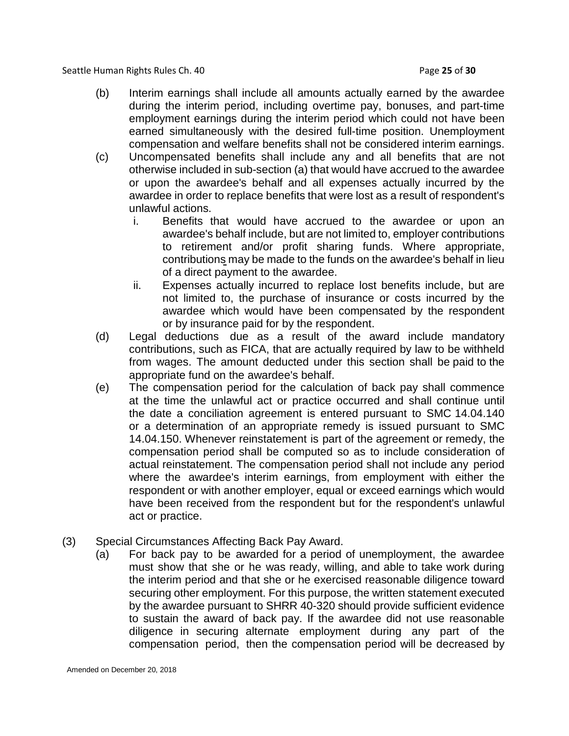Seattle Human Rights Rules Ch. 40 **Page 25** of **30** Page 25 of **30** 

- (b) Interim earnings shall include all amounts actually earned by the awardee during the interim period, including overtime pay, bonuses, and part-time employment earnings during the interim period which could not have been earned simultaneously with the desired full-time position. Unemployment compensation and welfare benefits shall not be considered interim earnings.
- (c) Uncompensated benefits shall include any and all benefits that are not otherwise included in sub-section (a) that would have accrued to the awardee or upon the awardee's behalf and all expenses actually incurred by the awardee in order to replace benefits that were lost as a result of respondent's unlawful actions.
	- i. Benefits that would have accrued to the awardee or upon an awardee's behalf include, but are not limited to, employer contributions to retirement and/or profit sharing funds. Where appropriate, contributions may be made to the funds on the awardee's behalf in lieu of a direct payment to the awardee.
	- ii. Expenses actually incurred to replace lost benefits include, but are not limited to, the purchase of insurance or costs incurred by the awardee which would have been compensated by the respondent or by insurance paid for by the respondent.
- (d) Legal deductions due as a result of the award include mandatory contributions, such as FICA, that are actually required by law to be withheld from wages. The amount deducted under this section shall be paid to the appropriate fund on the awardee's behalf.
- (e) The compensation period for the calculation of back pay shall commence at the time the unlawful act or practice occurred and shall continue until the date a conciliation agreement is entered pursuant to SMC 14.04.140 or a determination of an appropriate remedy is issued pursuant to SMC 14.04.150. Whenever reinstatement is part of the agreement or remedy, the compensation period shall be computed so as to include consideration of actual reinstatement. The compensation period shall not include any period where the awardee's interim earnings, from employment with either the respondent or with another employer, equal or exceed earnings which would have been received from the respondent but for the respondent's unlawful act or practice.
- (3) Special Circumstances Affecting Back Pay Award.
	- (a) For back pay to be awarded for a period of unemployment, the awardee must show that she or he was ready, willing, and able to take work during the interim period and that she or he exercised reasonable diligence toward securing other employment. For this purpose, the written statement executed by the awardee pursuant to SHRR 40-320 should provide sufficient evidence to sustain the award of back pay. If the awardee did not use reasonable diligence in securing alternate employment during any part of the compensation period, then the compensation period will be decreased by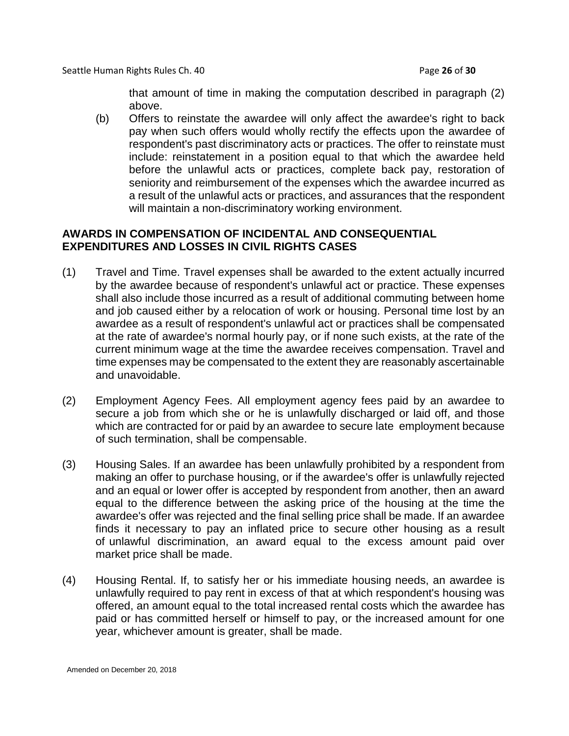that amount of time in making the computation described in paragraph (2) above.

(b) Offers to reinstate the awardee will only affect the awardee's right to back pay when such offers would wholly rectify the effects upon the awardee of respondent's past discriminatory acts or practices. The offer to reinstate must include: reinstatement in a position equal to that which the awardee held before the unlawful acts or practices, complete back pay, restoration of seniority and reimbursement of the expenses which the awardee incurred as a result of the unlawful acts or practices, and assurances that the respondent will maintain a non-discriminatory working environment.

# **AWARDS IN COMPENSATION OF INCIDENTAL AND CONSEQUENTIAL EXPENDITURES AND LOSSES IN CIVIL RIGHTS CASES**

- (1) Travel and Time. Travel expenses shall be awarded to the extent actually incurred by the awardee because of respondent's unlawful act or practice. These expenses shall also include those incurred as a result of additional commuting between home and job caused either by a relocation of work or housing. Personal time lost by an awardee as a result of respondent's unlawful act or practices shall be compensated at the rate of awardee's normal hourly pay, or if none such exists, at the rate of the current minimum wage at the time the awardee receives compensation. Travel and time expenses may be compensated to the extent they are reasonably ascertainable and unavoidable.
- (2) Employment Agency Fees. All employment agency fees paid by an awardee to secure a job from which she or he is unlawfully discharged or laid off, and those which are contracted for or paid by an awardee to secure late employment because of such termination, shall be compensable.
- (3) Housing Sales. If an awardee has been unlawfully prohibited by a respondent from making an offer to purchase housing, or if the awardee's offer is unlawfully rejected and an equal or lower offer is accepted by respondent from another, then an award equal to the difference between the asking price of the housing at the time the awardee's offer was rejected and the final selling price shall be made. If an awardee finds it necessary to pay an inflated price to secure other housing as a result of unlawful discrimination, an award equal to the excess amount paid over market price shall be made.
- (4) Housing Rental. If, to satisfy her or his immediate housing needs, an awardee is unlawfully required to pay rent in excess of that at which respondent's housing was offered, an amount equal to the total increased rental costs which the awardee has paid or has committed herself or himself to pay, or the increased amount for one year, whichever amount is greater, shall be made.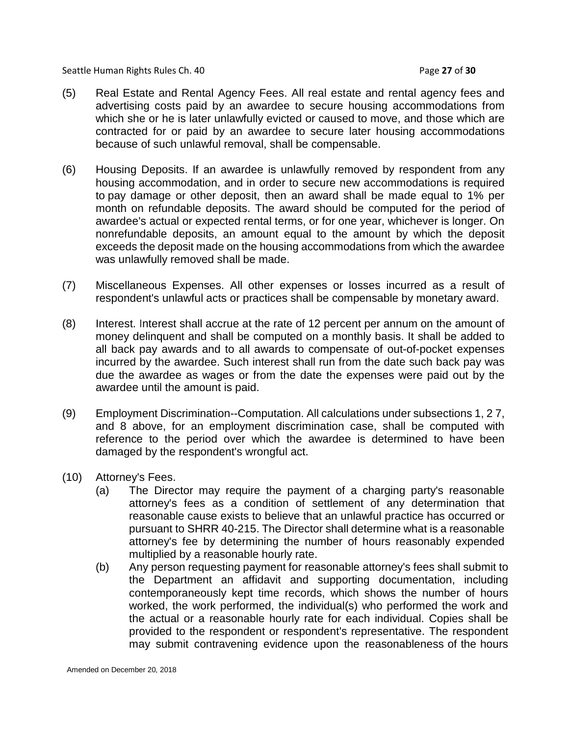Seattle Human Rights Rules Ch. 40 **Page 27** of **30** Page 27 of **30** 

- (5) Real Estate and Rental Agency Fees. All real estate and rental agency fees and advertising costs paid by an awardee to secure housing accommodations from which she or he is later unlawfully evicted or caused to move, and those which are contracted for or paid by an awardee to secure later housing accommodations because of such unlawful removal, shall be compensable.
- (6) Housing Deposits. If an awardee is unlawfully removed by respondent from any housing accommodation, and in order to secure new accommodations is required to pay damage or other deposit, then an award shall be made equal to 1% per month on refundable deposits. The award should be computed for the period of awardee's actual or expected rental terms, or for one year, whichever is longer. On nonrefundable deposits, an amount equal to the amount by which the deposit exceeds the deposit made on the housing accommodations from which the awardee was unlawfully removed shall be made.
- (7) Miscellaneous Expenses. All other expenses or losses incurred as a result of respondent's unlawful acts or practices shall be compensable by monetary award.
- (8) Interest. Interest shall accrue at the rate of 12 percent per annum on the amount of money delinquent and shall be computed on a monthly basis. It shall be added to all back pay awards and to all awards to compensate of out-of-pocket expenses incurred by the awardee. Such interest shall run from the date such back pay was due the awardee as wages or from the date the expenses were paid out by the awardee until the amount is paid.
- (9) Employment Discrimination--Computation. All calculations under subsections 1, 2 7, and 8 above, for an employment discrimination case, shall be computed with reference to the period over which the awardee is determined to have been damaged by the respondent's wrongful act.
- (10) Attorney's Fees.
	- (a) The Director may require the payment of a charging party's reasonable attorney's fees as a condition of settlement of any determination that reasonable cause exists to believe that an unlawful practice has occurred or pursuant to SHRR 40-215. The Director shall determine what is a reasonable attorney's fee by determining the number of hours reasonably expended multiplied by a reasonable hourly rate.
	- (b) Any person requesting payment for reasonable attorney's fees shall submit to the Department an affidavit and supporting documentation, including contemporaneously kept time records, which shows the number of hours worked, the work performed, the individual(s) who performed the work and the actual or a reasonable hourly rate for each individual. Copies shall be provided to the respondent or respondent's representative. The respondent may submit contravening evidence upon the reasonableness of the hours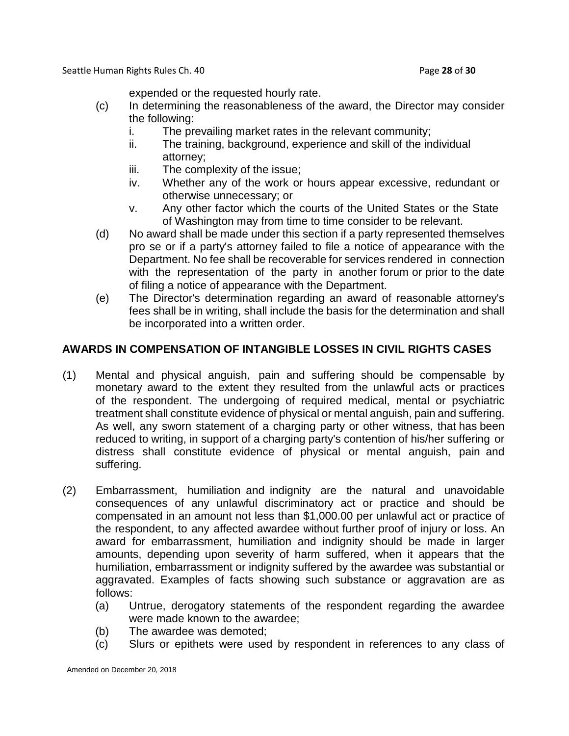Seattle Human Rights Rules Ch. 40 **Page 28** of **30** Page 28 of **30** 

expended or the requested hourly rate.

- (c) In determining the reasonableness of the award, the Director may consider the following:
	- i. The prevailing market rates in the relevant community;
	- ii. The training, background, experience and skill of the individual attorney;
	- iii. The complexity of the issue;
	- iv. Whether any of the work or hours appear excessive, redundant or otherwise unnecessary; or
	- v. Any other factor which the courts of the United States or the State of Washington may from time to time consider to be relevant.
- (d) No award shall be made under this section if a party represented themselves pro se or if a party's attorney failed to file a notice of appearance with the Department. No fee shall be recoverable for services rendered in connection with the representation of the party in another forum or prior to the date of filing a notice of appearance with the Department.
- (e) The Director's determination regarding an award of reasonable attorney's fees shall be in writing, shall include the basis for the determination and shall be incorporated into a written order.

# **AWARDS IN COMPENSATION OF INTANGIBLE LOSSES IN CIVIL RIGHTS CASES**

- (1) Mental and physical anguish, pain and suffering should be compensable by monetary award to the extent they resulted from the unlawful acts or practices of the respondent. The undergoing of required medical, mental or psychiatric treatment shall constitute evidence of physical or mental anguish, pain and suffering. As well, any sworn statement of a charging party or other witness, that has been reduced to writing, in support of a charging party's contention of his/her suffering or distress shall constitute evidence of physical or mental anguish, pain and suffering.
- (2) Embarrassment, humiliation and indignity are the natural and unavoidable consequences of any unlawful discriminatory act or practice and should be compensated in an amount not less than \$1,000.00 per unlawful act or practice of the respondent, to any affected awardee without further proof of injury or loss. An award for embarrassment, humiliation and indignity should be made in larger amounts, depending upon severity of harm suffered, when it appears that the humiliation, embarrassment or indignity suffered by the awardee was substantial or aggravated. Examples of facts showing such substance or aggravation are as follows:
	- (a) Untrue, derogatory statements of the respondent regarding the awardee were made known to the awardee;
	- (b) The awardee was demoted;
	- (c) Slurs or epithets were used by respondent in references to any class of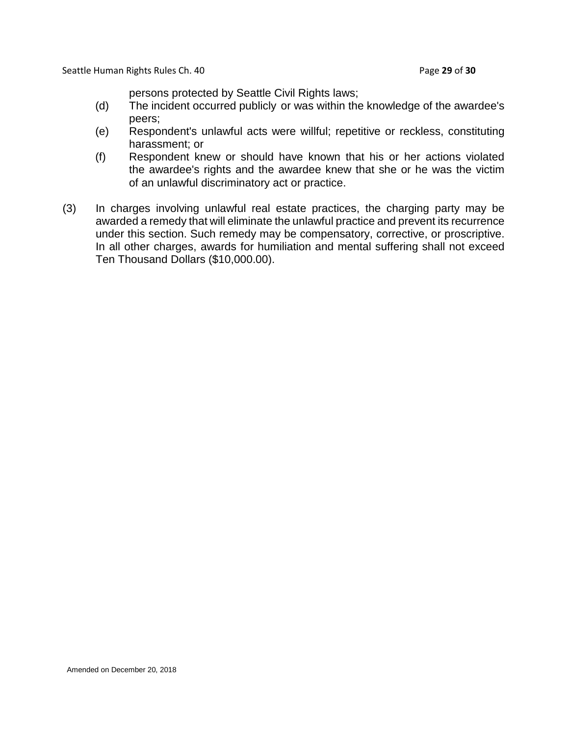Seattle Human Rights Rules Ch. 40 **Page 29 of 30** Page 29 of 30

persons protected by Seattle Civil Rights laws;

- (d) The incident occurred publicly or was within the knowledge of the awardee's peers;
- (e) Respondent's unlawful acts were willful; repetitive or reckless, constituting harassment; or
- (f) Respondent knew or should have known that his or her actions violated the awardee's rights and the awardee knew that she or he was the victim of an unlawful discriminatory act or practice.
- (3) In charges involving unlawful real estate practices, the charging party may be awarded a remedy that will eliminate the unlawful practice and prevent its recurrence under this section. Such remedy may be compensatory, corrective, or proscriptive. In all other charges, awards for humiliation and mental suffering shall not exceed Ten Thousand Dollars (\$10,000.00).